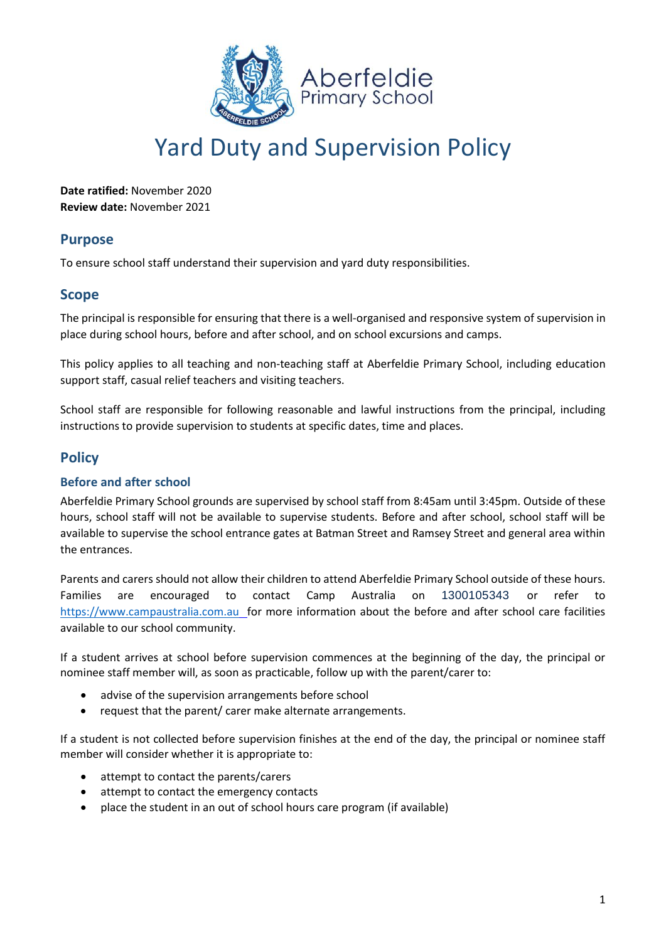

# Yard Duty and Supervision Policy

**Date ratified:** November 2020 **Review date:** November 2021

## **Purpose**

To ensure school staff understand their supervision and yard duty responsibilities.

## **Scope**

The principal is responsible for ensuring that there is a well-organised and responsive system of supervision in place during school hours, before and after school, and on school excursions and camps.

This policy applies to all teaching and non-teaching staff at Aberfeldie Primary School, including education support staff, casual relief teachers and visiting teachers.

School staff are responsible for following reasonable and lawful instructions from the principal, including instructions to provide supervision to students at specific dates, time and places.

## **Policy**

#### **Before and after school**

Aberfeldie Primary School grounds are supervised by school staff from 8:45am until 3:45pm. Outside of these hours, school staff will not be available to supervise students. Before and after school, school staff will be available to supervise the school entrance gates at Batman Street and Ramsey Street and general area within the entrances.

Parents and carers should not allow their children to attend Aberfeldie Primary School outside of these hours. Families are encouraged to contact Camp Australia on 1300105343 or refer to [https://www.campaustralia.com.au](https://www.campaustralia.com.au/) for more information about the before and after school care facilities available to our school community.

If a student arrives at school before supervision commences at the beginning of the day, the principal or nominee staff member will, as soon as practicable, follow up with the parent/carer to:

- advise of the supervision arrangements before school
- request that the parent/ carer make alternate arrangements.

If a student is not collected before supervision finishes at the end of the day, the principal or nominee staff member will consider whether it is appropriate to:

- attempt to contact the parents/carers
- attempt to contact the emergency contacts
- place the student in an out of school hours care program (if available)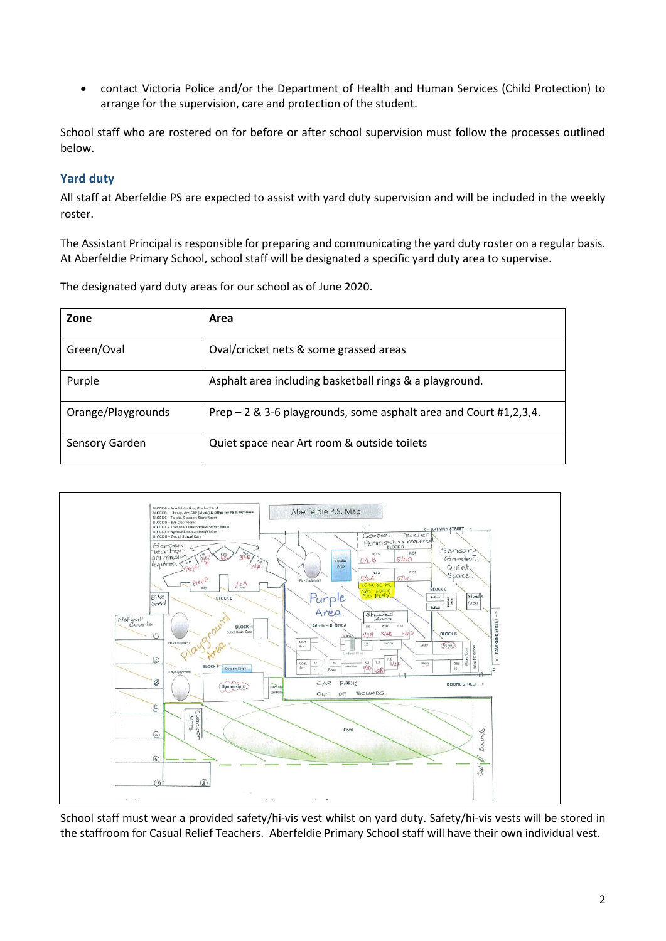• contact Victoria Police and/or the Department of Health and Human Services (Child Protection) to arrange for the supervision, care and protection of the student.

School staff who are rostered on for before or after school supervision must follow the processes outlined below.

### **Yard duty**

All staff at Aberfeldie PS are expected to assist with yard duty supervision and will be included in the weekly roster.

The Assistant Principal is responsible for preparing and communicating the yard duty roster on a regular basis. At Aberfeldie Primary School, school staff will be designated a specific yard duty area to supervise.

The designated yard duty areas for our school as of June 2020.

| Zone               | Area                                                              |
|--------------------|-------------------------------------------------------------------|
| Green/Oval         | Oval/cricket nets & some grassed areas                            |
| Purple             | Asphalt area including basketball rings & a playground.           |
| Orange/Playgrounds | Prep – 2 & 3-6 playgrounds, some asphalt area and Court #1,2,3,4. |
| Sensory Garden     | Quiet space near Art room & outside toilets                       |



School staff must wear a provided safety/hi-vis vest whilst on yard duty. Safety/hi-vis vests will be stored in the staffroom for Casual Relief Teachers. Aberfeldie Primary School staff will have their own individual vest.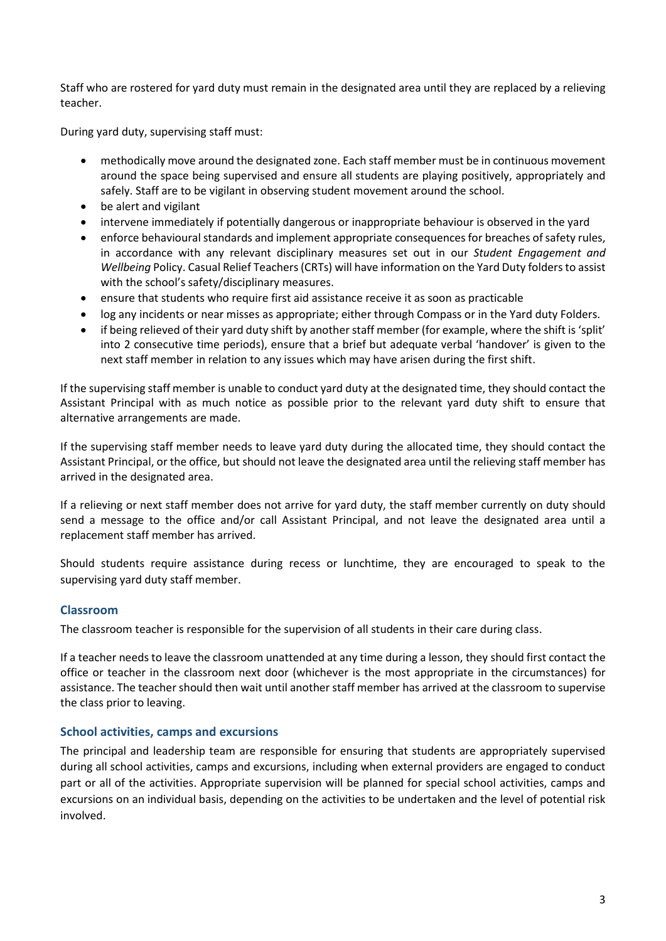Staff who are rostered for yard duty must remain in the designated area until they are replaced by a relieving teacher.

During yard duty, supervising staff must:

- methodically move around the designated zone. Each staff member must be in continuous movement around the space being supervised and ensure all students are playing positively, appropriately and safely. Staff are to be vigilant in observing student movement around the school.
- be alert and vigilant
- intervene immediately if potentially dangerous or inappropriate behaviour is observed in the yard
- enforce behavioural standards and implement appropriate consequences for breaches of safety rules, in accordance with any relevant disciplinary measures set out in our *Student Engagement and Wellbeing* Policy. Casual Relief Teachers (CRTs) will have information on the Yard Duty folders to assist with the school's safety/disciplinary measures.
- ensure that students who require first aid assistance receive it as soon as practicable
- log any incidents or near misses as appropriate; either through Compass or in the Yard duty Folders.
- if being relieved of their yard duty shift by another staff member (for example, where the shift is 'split' into 2 consecutive time periods), ensure that a brief but adequate verbal 'handover' is given to the next staff member in relation to any issues which may have arisen during the first shift.

If the supervising staff member is unable to conduct yard duty at the designated time, they should contact the Assistant Principal with as much notice as possible prior to the relevant yard duty shift to ensure that alternative arrangements are made.

If the supervising staff member needs to leave yard duty during the allocated time, they should contact the Assistant Principal, or the office, but should not leave the designated area until the relieving staff member has arrived in the designated area.

If a relieving or next staff member does not arrive for yard duty, the staff member currently on duty should send a message to the office and/or call Assistant Principal, and not leave the designated area until a replacement staff member has arrived.

Should students require assistance during recess or lunchtime, they are encouraged to speak to the supervising yard duty staff member.

#### **Classroom**

The classroom teacher is responsible for the supervision of all students in their care during class.

If a teacher needs to leave the classroom unattended at any time during a lesson, they should first contact the office or teacher in the classroom next door (whichever is the most appropriate in the circumstances) for assistance. The teacher should then wait until another staff member has arrived at the classroom to supervise the class prior to leaving.

#### **School activities, camps and excursions**

The principal and leadership team are responsible for ensuring that students are appropriately supervised during all school activities, camps and excursions, including when external providers are engaged to conduct part or all of the activities. Appropriate supervision will be planned for special school activities, camps and excursions on an individual basis, depending on the activities to be undertaken and the level of potential risk involved.